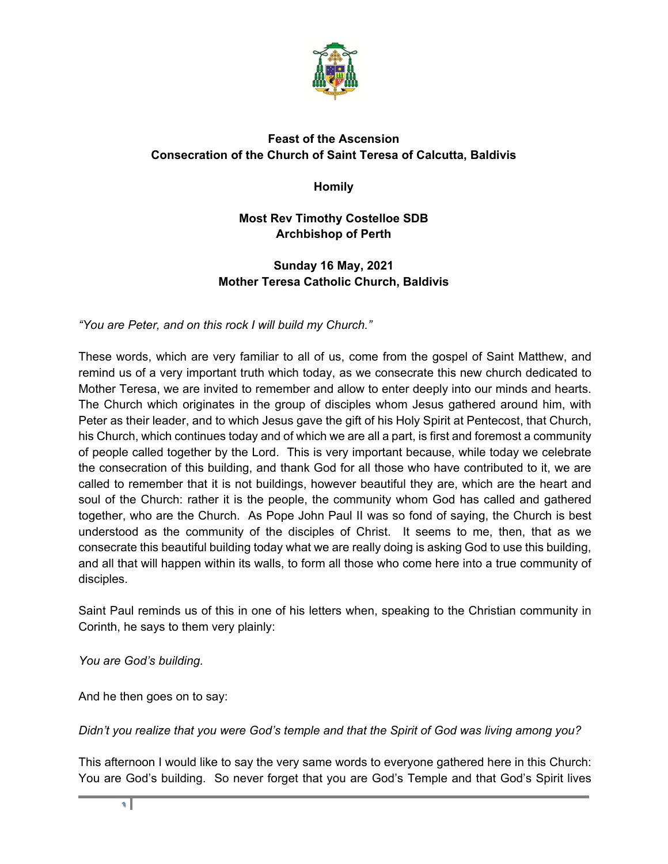

## **Feast of the Ascension Consecration of the Church of Saint Teresa of Calcutta, Baldivis**

**Homily** 

## **Most Rev Timothy Costelloe SDB Archbishop of Perth**

## **Sunday 16 May, 2021 Mother Teresa Catholic Church, Baldivis**

*"You are Peter, and on this rock I will build my Church."* 

These words, which are very familiar to all of us, come from the gospel of Saint Matthew, and remind us of a very important truth which today, as we consecrate this new church dedicated to Mother Teresa, we are invited to remember and allow to enter deeply into our minds and hearts. The Church which originates in the group of disciples whom Jesus gathered around him, with Peter as their leader, and to which Jesus gave the gift of his Holy Spirit at Pentecost, that Church, his Church, which continues today and of which we are all a part, is first and foremost a community of people called together by the Lord. This is very important because, while today we celebrate the consecration of this building, and thank God for all those who have contributed to it, we are called to remember that it is not buildings, however beautiful they are, which are the heart and soul of the Church: rather it is the people, the community whom God has called and gathered together, who are the Church. As Pope John Paul II was so fond of saying, the Church is best understood as the community of the disciples of Christ. It seems to me, then, that as we consecrate this beautiful building today what we are really doing is asking God to use this building, and all that will happen within its walls, to form all those who come here into a true community of disciples.

Saint Paul reminds us of this in one of his letters when, speaking to the Christian community in Corinth, he says to them very plainly:

*You are God's building.* 

And he then goes on to say:

*Didn't you realize that you were God's temple and that the Spirit of God was living among you?* 

This afternoon I would like to say the very same words to everyone gathered here in this Church: You are God's building. So never forget that you are God's Temple and that God's Spirit lives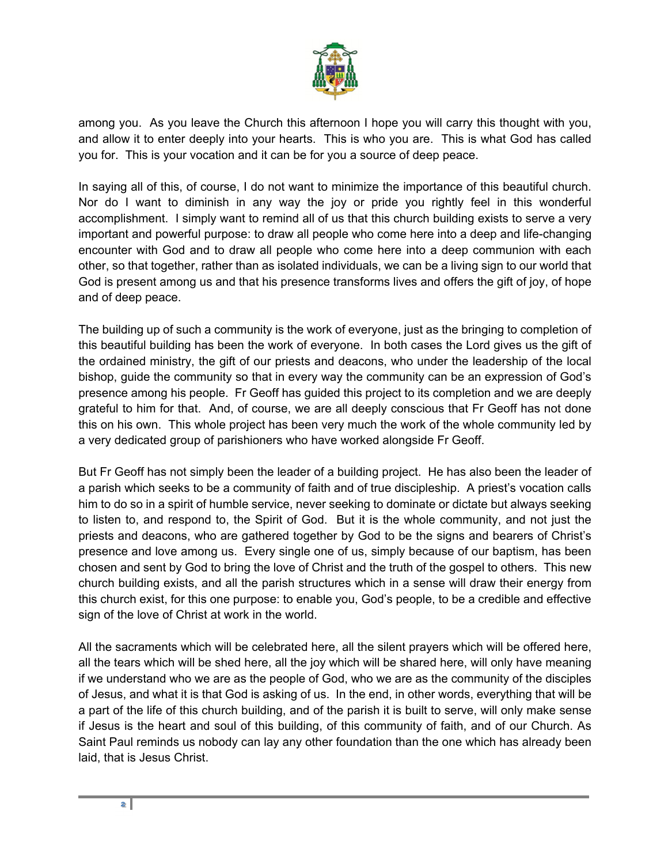

among you. As you leave the Church this afternoon I hope you will carry this thought with you, and allow it to enter deeply into your hearts. This is who you are. This is what God has called you for. This is your vocation and it can be for you a source of deep peace.

In saying all of this, of course, I do not want to minimize the importance of this beautiful church. Nor do I want to diminish in any way the joy or pride you rightly feel in this wonderful accomplishment. I simply want to remind all of us that this church building exists to serve a very important and powerful purpose: to draw all people who come here into a deep and life-changing encounter with God and to draw all people who come here into a deep communion with each other, so that together, rather than as isolated individuals, we can be a living sign to our world that God is present among us and that his presence transforms lives and offers the gift of joy, of hope and of deep peace.

The building up of such a community is the work of everyone, just as the bringing to completion of this beautiful building has been the work of everyone. In both cases the Lord gives us the gift of the ordained ministry, the gift of our priests and deacons, who under the leadership of the local bishop, guide the community so that in every way the community can be an expression of God's presence among his people. Fr Geoff has guided this project to its completion and we are deeply grateful to him for that. And, of course, we are all deeply conscious that Fr Geoff has not done this on his own. This whole project has been very much the work of the whole community led by a very dedicated group of parishioners who have worked alongside Fr Geoff.

But Fr Geoff has not simply been the leader of a building project. He has also been the leader of a parish which seeks to be a community of faith and of true discipleship. A priest's vocation calls him to do so in a spirit of humble service, never seeking to dominate or dictate but always seeking to listen to, and respond to, the Spirit of God. But it is the whole community, and not just the priests and deacons, who are gathered together by God to be the signs and bearers of Christ's presence and love among us. Every single one of us, simply because of our baptism, has been chosen and sent by God to bring the love of Christ and the truth of the gospel to others. This new church building exists, and all the parish structures which in a sense will draw their energy from this church exist, for this one purpose: to enable you, God's people, to be a credible and effective sign of the love of Christ at work in the world.

All the sacraments which will be celebrated here, all the silent prayers which will be offered here, all the tears which will be shed here, all the joy which will be shared here, will only have meaning if we understand who we are as the people of God, who we are as the community of the disciples of Jesus, and what it is that God is asking of us. In the end, in other words, everything that will be a part of the life of this church building, and of the parish it is built to serve, will only make sense if Jesus is the heart and soul of this building, of this community of faith, and of our Church. As Saint Paul reminds us nobody can lay any other foundation than the one which has already been laid, that is Jesus Christ.